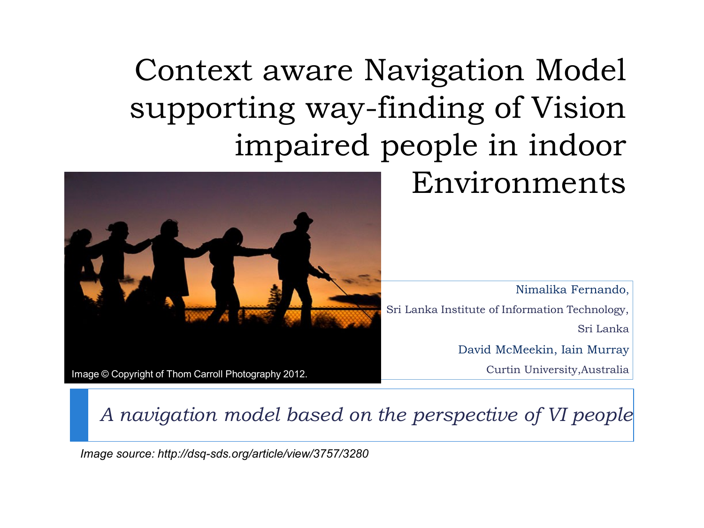Context aware Navigation Model supporting way-finding of Vision impaired people in indoor

#### Environments

Nimalika Fernando, Sri Lanka Institute of Information Technology, Sri Lanka David McMeekin, Iain Murray Curtin University,Australia

Image © Copyright of Thom Carroll Photography 2012.

*A navigation model based on the perspective of VI people*

*Image source: http://dsq-sds.org/article/view/3757/3280*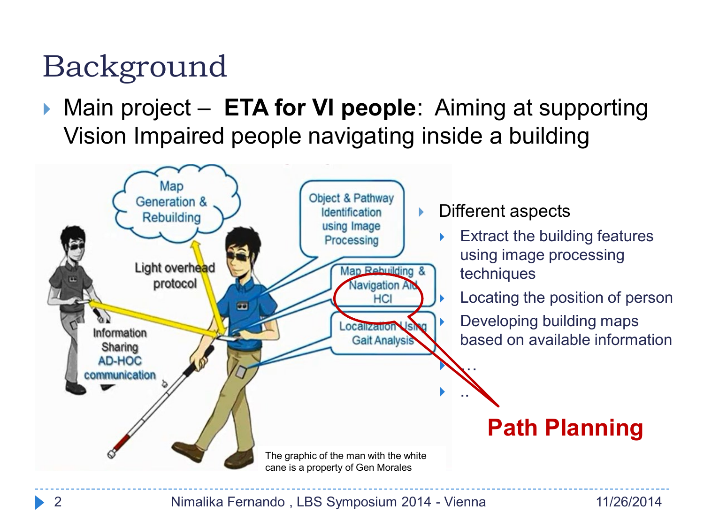# Background

▶ Main project – **ETA for VI people**: Aiming at supporting Vision Impaired people navigating inside a building

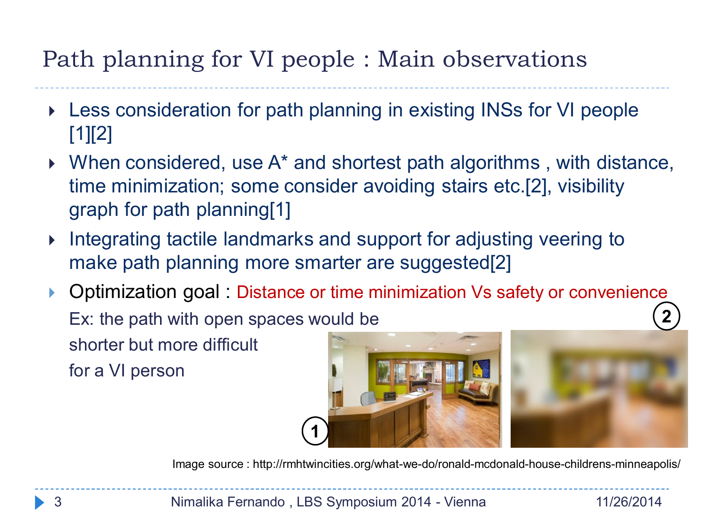#### Path planning for VI people : Main observations

- Less consideration for path planning in existing INSs for VI people  $[1][2]$
- ▶ When considered, use A<sup>\*</sup> and shortest path algorithms, with distance, time minimization; some consider avoiding stairs etc.[2], visibility graph for path planning[1]
- Integrating tactile landmarks and support for adjusting veering to make path planning more smarter are suggested[2]
- ▶ Optimization goal : Distance or time minimization Vs safety or convenience Ex: the path with open spaces would be shorter but more difficult for a VI person **2**



Image source : http://rmhtwincities.org/what-we-do/ronald-mcdonald-house-childrens-minneapolis/

3 Nimalika Fernando , LBS Symposium 2014 - Vienna 11/26/2014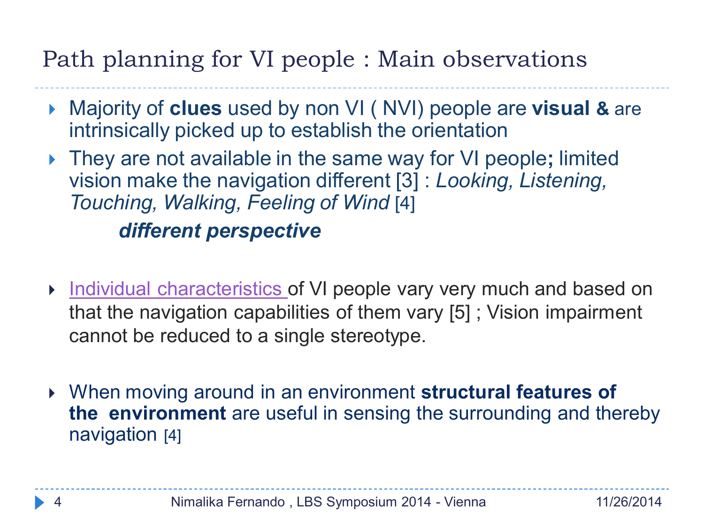#### Path planning for VI people : Main observations

- Majority of **clues** used by non VI ( NVI) people are **visual &** are intrinsically picked up to establish the orientation
- They are not available in the same way for VI people**;** limited vision make the navigation different [3] : *Looking, Listening, Touching, Walking, Feeling of Wind* [4] *different perspective*
- **Individual characteristics of VI people vary very much and based on** that the navigation capabilities of them vary [5] ; Vision impairment cannot be reduced to a single stereotype.
- When moving around in an environment **structural features of the environment** are useful in sensing the surrounding and thereby navigation [4]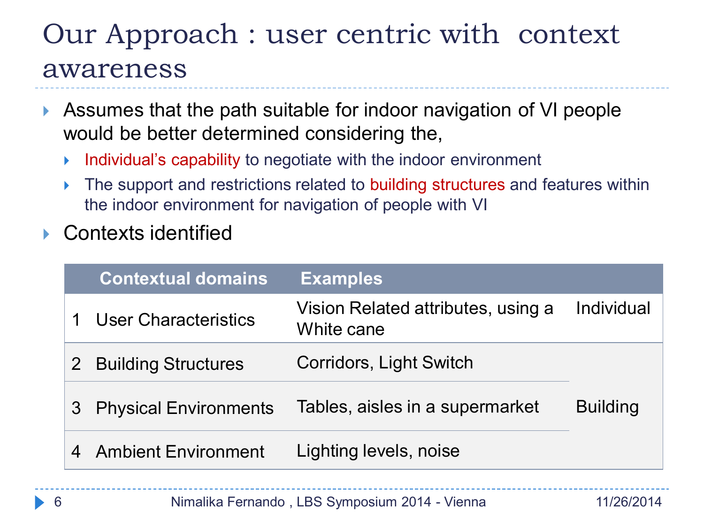#### Our Approach : user centric with context awareness

- Assumes that the path suitable for indoor navigation of VI people would be better determined considering the,
	- $\triangleright$  Individual's capability to negotiate with the indoor environment
	- The support and restrictions related to building structures and features within the indoor environment for navigation of people with VI
- Contexts identified

|                | <b>Contextual domains</b>    | <b>Examples</b>                                  |                 |
|----------------|------------------------------|--------------------------------------------------|-----------------|
|                | <b>User Characteristics</b>  | Vision Related attributes, using a<br>White cane | Individual      |
| 2 <sup>1</sup> | <b>Building Structures</b>   | Corridors, Light Switch                          |                 |
| 3              | <b>Physical Environments</b> | Tables, aisles in a supermarket                  | <b>Building</b> |
|                | <b>Ambient Environment</b>   | Lighting levels, noise                           |                 |
|                |                              |                                                  |                 |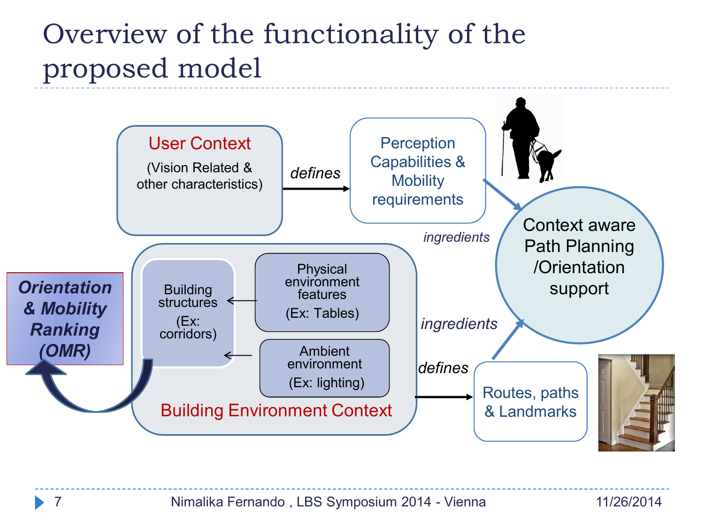#### Overview of the functionality of the proposed model

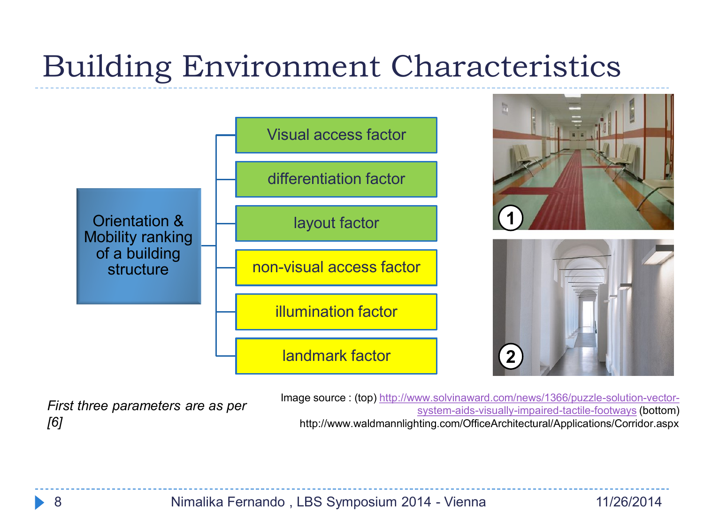# Building Environment Characteristics



*First three parameters are as per [6]*

Image source : (top) [http://www.solvinaward.com/news/1366/puzzle-solution-vector](http://www.solvinaward.com/news/1366/puzzle-solution-vector-system-aids-visually-impaired-tactile-footways)[system-aids-visually-impaired-tactile-footways](http://www.solvinaward.com/news/1366/puzzle-solution-vector-system-aids-visually-impaired-tactile-footways) (bottom) http://www.waldmannlighting.com/OfficeArchitectural/Applications/Corridor.aspx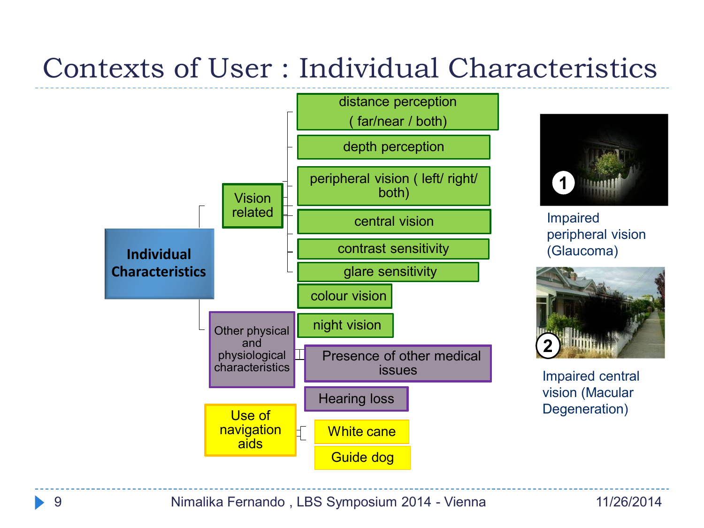### Contexts of User : Individual Characteristics





Impaired peripheral vision (Glaucoma)



Impaired central vision (Macular Degeneration)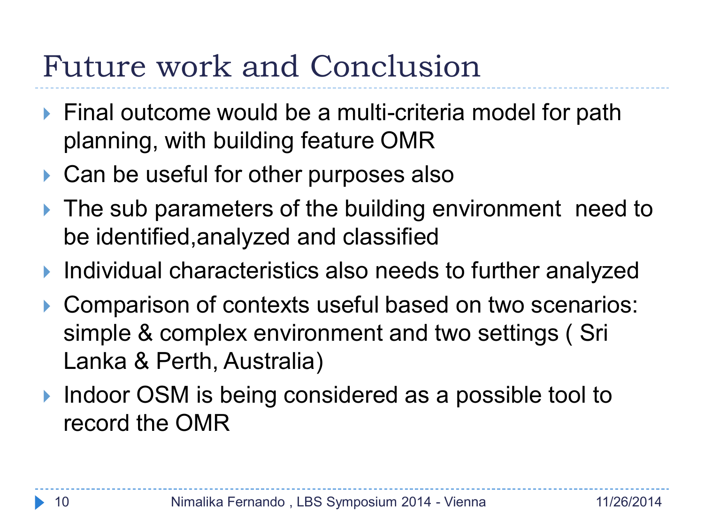# Future work and Conclusion

- ▶ Final outcome would be a multi-criteria model for path planning, with building feature OMR
- ▶ Can be useful for other purposes also
- If The sub parameters of the building environment need to be identified,analyzed and classified
- ▶ Individual characteristics also needs to further analyzed
- ▶ Comparison of contexts useful based on two scenarios: simple & complex environment and two settings ( Sri Lanka & Perth, Australia)
- ▶ Indoor OSM is being considered as a possible tool to record the OMR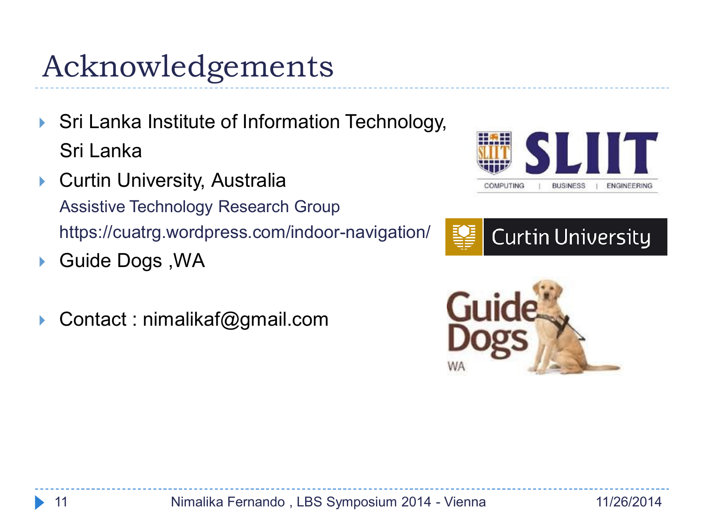# Acknowledgements

- Sri Lanka Institute of Information Technology, Sri Lanka
- ▶ Curtin University, Australia Assistive Technology Research Group https://cuatrg.wordpress.com/indoor-navigation/
- ▶ Guide Dogs, WA
- Contact : nimalikaf@gmail.com





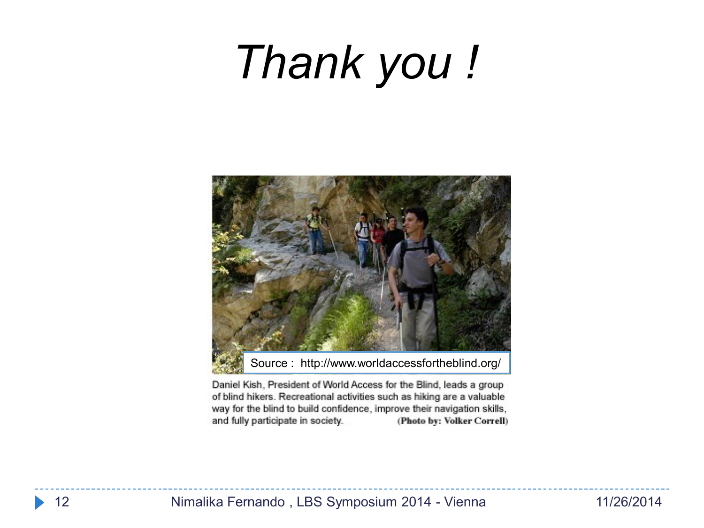# *Thank you !*



Daniel Kish, President of World Access for the Blind, leads a group of blind hikers. Recreational activities such as hiking are a valuable way for the blind to build confidence, improve their navigation skills, and fully participate in society. (Photo by: Volker Correll)